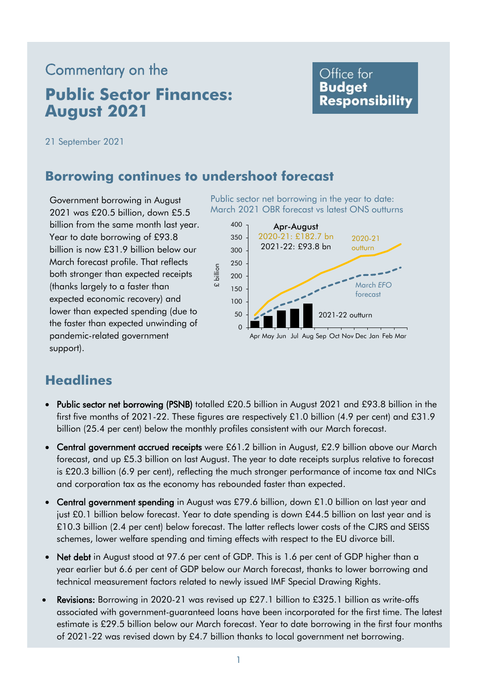# **August 2021**  Commentary on the **Public Sector Finances:**

### Office for **Budget Responsibility**

21 September 2021

#### **Borrowing continues to undershoot forecast**

Government borrowing in August 2021 was £20.5 billion, down £5.5 billion from the same month last year. Year to date borrowing of £93.8 billion is now £31.9 billion below our March forecast profile. That reflects both stronger than expected receipts (thanks largely to a faster than expected economic recovery) and lower than expected spending (due to the faster than expected unwinding of pandemic-related government support).

 Public sector net borrowing in the year to date: March 2021 OBR forecast vs latest ONS outturns



## **Headlines**

- • Public sector net borrowing (PSNB) totalled £20.5 billion in August 2021 and £93.8 billion in the first five months of 2021-22. These figures are respectively £1.0 billion (4.9 per cent) and £31.9 billion (25.4 per cent) below the monthly profiles consistent with our March forecast.
- Central government accrued receipts were £61.2 billion in August, £2.9 billion above our March forecast, and up £5.3 billion on last August. The year to date receipts surplus relative to forecast is £20.3 billion (6.9 per cent), reflecting the much stronger performance of income tax and NICs and corporation tax as the economy has rebounded faster than expected.
- Central government spending in August was £79.6 billion, down £1.0 billion on last year and just £0.1 billion below forecast. Year to date spending is down £44.5 billion on last year and is £10.3 billion (2.4 per cent) below forecast. The latter reflects lower costs of the CJRS and SEISS schemes, lower welfare spending and timing effects with respect to the EU divorce bill.
- Net debt in August stood at 97.6 per cent of GDP. This is 1.6 per cent of GDP higher than a year earlier but 6.6 per cent of GDP below our March forecast, thanks to lower borrowing and technical measurement factors related to newly issued IMF Special Drawing Rights.
- Revisions: Borrowing in 2020-21 was revised up £27.1 billion to £325.1 billion as write-offs estimate is £29.5 billion below our March forecast. Year to date borrowing in the first four months of 2021-22 was revised down by £4.7 billion thanks to local government net borrowing. associated with government-guaranteed loans have been incorporated for the first time. The latest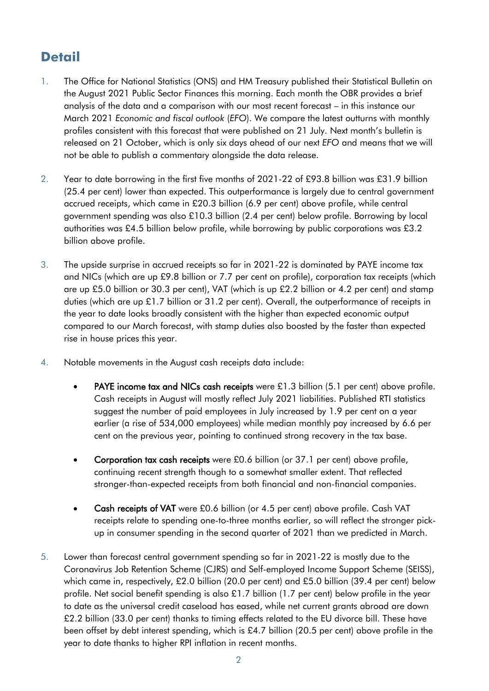## **Detail**

- 1. The Office for National Statistics (ONS) and HM Treasury published their Statistical Bulletin on the August 2021 Public Sector Finances this morning. Each month the OBR provides a brief analysis of the data and a comparison with our most recent forecast – in this instance our  March 2021 *Economic and fiscal outlook* (*EFO*). We compare the latest outturns with monthly profiles consistent with this forecast that were published on 21 July. Next month's bulletin is released on 21 October, which is only six days ahead of our next *EFO* and means that we will not be able to publish a commentary alongside the data release.
- 2. Year to date borrowing in the first five months of 2021-22 of £93.8 billion was £31.9 billion (25.4 per cent) lower than expected. This outperformance is largely due to central government accrued receipts, which came in £20.3 billion (6.9 per cent) above profile, while central government spending was also £10.3 billion (2.4 per cent) below profile. Borrowing by local authorities was £4.5 billion below profile, while borrowing by public corporations was £3.2 billion above profile.
- 3. The upside surprise in accrued receipts so far in 2021-22 is dominated by PAYE income tax and NICs (which are up £9.8 billion or 7.7 per cent on profile), corporation tax receipts (which are up £5.0 billion or 30.3 per cent), VAT (which is up £2.2 billion or 4.2 per cent) and stamp duties (which are up £1.7 billion or 31.2 per cent). Overall, the outperformance of receipts in the year to date looks broadly consistent with the higher than expected economic output compared to our March forecast, with stamp duties also boosted by the faster than expected rise in house prices this year.
- 4. Notable movements in the August cash receipts data include:
	- PAYE income tax and NICs cash receipts were £1.3 billion (5.1 per cent) above profile. suggest the number of paid employees in July increased by 1.9 per cent on a year earlier (a rise of 534,000 employees) while median monthly pay increased by 6.6 per Cash receipts in August will mostly reflect July 2021 liabilities. Published RTI statistics cent on the previous year, pointing to continued strong recovery in the tax base.
	- Corporation tax cash receipts were £0.6 billion (or 37.1 per cent) above profile, continuing recent strength though to a somewhat smaller extent. That reflected stronger-than-expected receipts from both financial and non-financial companies.
	- Cash receipts of VAT were £0.6 billion (or 4.5 per cent) above profile. Cash VAT receipts relate to spending one-to-three months earlier, so will reflect the stronger pick-up in consumer spending in the second quarter of 2021 than we predicted in March.
- 5. Lower than forecast central government spending so far in 2021-22 is mostly due to the which came in, respectively, £2.0 billion (20.0 per cent) and £5.0 billion (39.4 per cent) below profile. Net social benefit spending is also £1.7 billion (1.7 per cent) below profile in the year £2.2 billion (33.0 per cent) thanks to timing effects related to the EU divorce bill. These have been offset by debt interest spending, which is £4.7 billion (20.5 per cent) above profile in the year to date thanks to higher RPI inflation in recent months. Coronavirus Job Retention Scheme (CJRS) and Self-employed Income Support Scheme (SEISS), to date as the universal credit caseload has eased, while net current grants abroad are down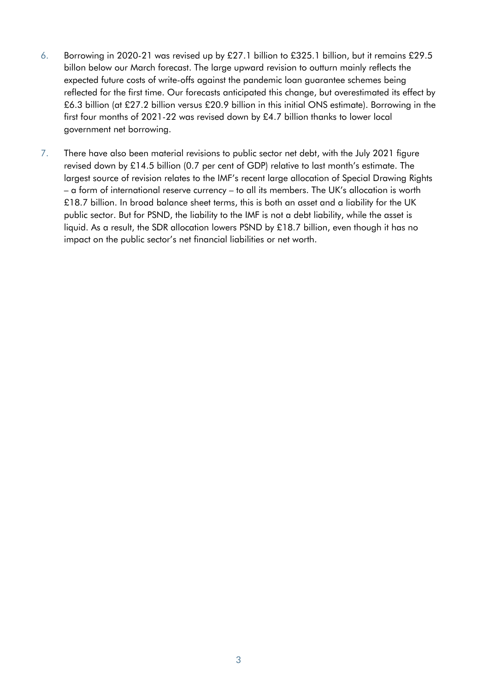- 6. Borrowing in 2020-21 was revised up by £27.1 billion to £325.1 billion, but it remains £29.5 billon below our March forecast. The large upward revision to outturn mainly reflects the £6.3 billion (at £27.2 billion versus £20.9 billion in this initial ONS estimate). Borrowing in the first four months of 2021-22 was revised down by £4.7 billion thanks to lower local expected future costs of write-offs against the pandemic loan guarantee schemes being reflected for the first time. Our forecasts anticipated this change, but overestimated its effect by government net borrowing.
- 7. There have also been material revisions to public sector net debt, with the July 2021 figure revised down by £14.5 billion (0.7 per cent of GDP) relative to last month's estimate. The – a form of international reserve currency – to all its members. The UK's allocation is worth £18.7 billion. In broad balance sheet terms, this is both an asset and a liability for the UK liquid. As a result, the SDR allocation lowers PSND by £18.7 billion, even though it has no largest source of revision relates to the IMF's recent large allocation of Special Drawing Rights public sector. But for PSND, the liability to the IMF is not a debt liability, while the asset is impact on the public sector's net financial liabilities or net worth.